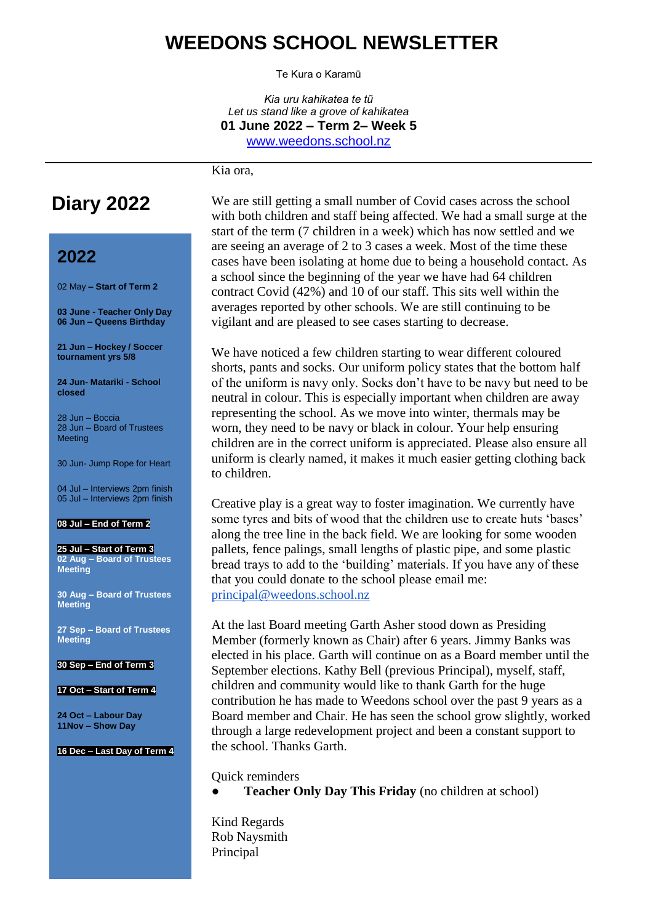## **WEEDONS SCHOOL NEWSLETTER**

Te Kura o Karamū

*Kia uru kahikatea te tũ Let us stand like a grove of kahikatea* **01 June 2022 – Term 2– Week 5** [www.weedons.school.nz](http://www.weedons.school.nz/)

Kia ora,

## **Diary 2022**

## **2022**

02 May **– Start of Term 2**

**03 June - Teacher Only Day 06 Jun – Queens Birthday**

**21 Jun – Hockey / Soccer tournament yrs 5/8**

**24 Jun- Matariki - School closed**

28 Jun – Boccia 28 Jun – Board of Trustees Meeting

30 Jun- Jump Rope for Heart

04 Jul – Interviews 2pm finish 05 Jul – Interviews 2pm finish

#### **08 Jul – End of Term 2**

**25 Jul – Start of Term 3 02 Aug – Board of Trustees Meeting**

**30 Aug – Board of Trustees Meeting**

**27 Sep – Board of Trustees Meeting**

**30 Sep – End of Term 3**

#### **17 Oct – Start of Term 4**

**24 Oct – Labour Day 11Nov – Show Day**

#### **16 Dec – Last Day of Term 4**

We are still getting a small number of Covid cases across the school with both children and staff being affected. We had a small surge at the start of the term (7 children in a week) which has now settled and we are seeing an average of 2 to 3 cases a week. Most of the time these cases have been isolating at home due to being a household contact. As a school since the beginning of the year we have had 64 children contract Covid (42%) and 10 of our staff. This sits well within the averages reported by other schools. We are still continuing to be vigilant and are pleased to see cases starting to decrease.

We have noticed a few children starting to wear different coloured shorts, pants and socks. Our uniform policy states that the bottom half of the uniform is navy only. Socks don't have to be navy but need to be neutral in colour. This is especially important when children are away representing the school. As we move into winter, thermals may be worn, they need to be navy or black in colour. Your help ensuring children are in the correct uniform is appreciated. Please also ensure all uniform is clearly named, it makes it much easier getting clothing back to children.

Creative play is a great way to foster imagination. We currently have some tyres and bits of wood that the children use to create huts 'bases' along the tree line in the back field. We are looking for some wooden pallets, fence palings, small lengths of plastic pipe, and some plastic bread trays to add to the 'building' materials. If you have any of these that you could donate to the school please email me: [principal@weedons.school.nz](mailto:principal@weedons.school.nz)

At the last Board meeting Garth Asher stood down as Presiding Member (formerly known as Chair) after 6 years. Jimmy Banks was elected in his place. Garth will continue on as a Board member until the September elections. Kathy Bell (previous Principal), myself, staff, children and community would like to thank Garth for the huge contribution he has made to Weedons school over the past 9 years as a Board member and Chair. He has seen the school grow slightly, worked through a large redevelopment project and been a constant support to the school. Thanks Garth.

Quick reminders

**Teacher Only Day This Friday** (no children at school)

Kind Regards Rob Naysmith Principal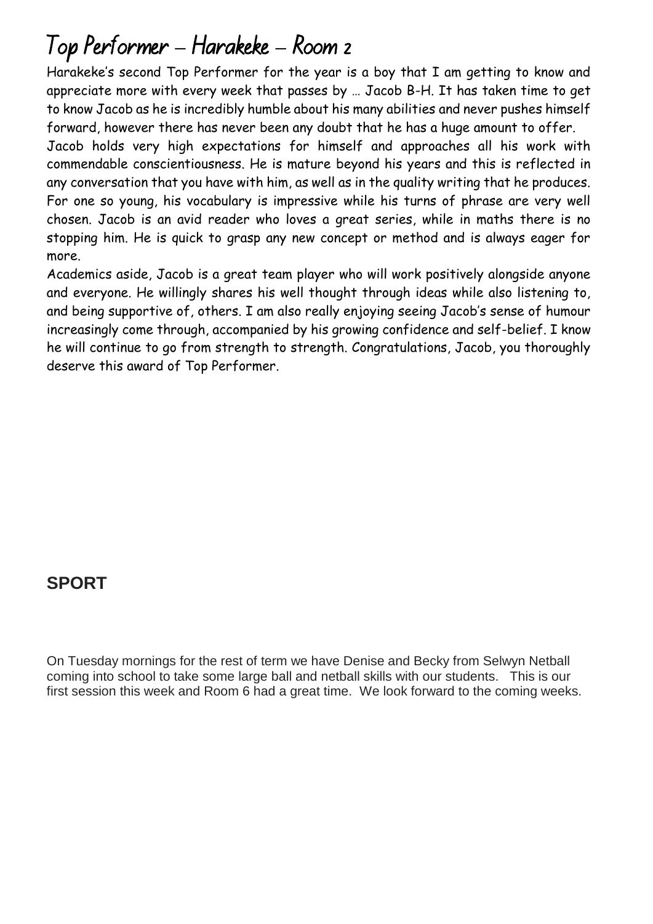# Top Performer **–** Harakeke **–** Room 2

Harakeke's second Top Performer for the year is a boy that I am getting to know and appreciate more with every week that passes by … Jacob B-H. It has taken time to get to know Jacob as he is incredibly humble about his many abilities and never pushes himself forward, however there has never been any doubt that he has a huge amount to offer.

Jacob holds very high expectations for himself and approaches all his work with commendable conscientiousness. He is mature beyond his years and this is reflected in any conversation that you have with him, as well as in the quality writing that he produces. For one so young, his vocabulary is impressive while his turns of phrase are very well chosen. Jacob is an avid reader who loves a great series, while in maths there is no stopping him. He is quick to grasp any new concept or method and is always eager for more.

Academics aside, Jacob is a great team player who will work positively alongside anyone and everyone. He willingly shares his well thought through ideas while also listening to, and being supportive of, others. I am also really enjoying seeing Jacob's sense of humour increasingly come through, accompanied by his growing confidence and self-belief. I know he will continue to go from strength to strength. Congratulations, Jacob, you thoroughly deserve this award of Top Performer.

## **SPORT**

On Tuesday mornings for the rest of term we have Denise and Becky from Selwyn Netball coming into school to take some large ball and netball skills with our students. This is our first session this week and Room 6 had a great time. We look forward to the coming weeks.